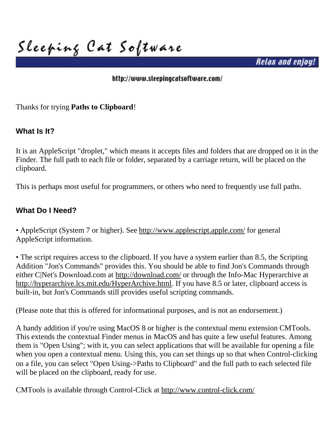**Sleeping Cat Software**

*Relax and enjoy!*

#### <http://www.sleepingcatsoftware.com/>

Thanks for trying **Paths to Clipboard**!

## **What Is It?**

It is an AppleScript "droplet," which means it accepts files and folders that are dropped on it in the Finder. The full path to each file or folder, separated by a carriage return, will be placed on the clipboard.

This is perhaps most useful for programmers, or others who need to frequently use full paths.

## **What Do I Need?**

• AppleScript (System 7 or higher). See<http://www.applescript.apple.com/>for general AppleScript information.

• The script requires access to the clipboard. If you have a system earlier than 8.5, the Scripting Addition "Jon's Commands" provides this. You should be able to find Jon's Commands through either C|Net's Download.com at <http://download.com/>or through the Info-Mac Hyperarchive at http://hyperarchive.lcs.mit.edu/HyperArchive.html. If you have 8.5 or later, clipboard access is built-in, but Jon's Commands still provides useful scripting commands.

(Please note that this is offered for informational purposes, and is not an endorsement.)

A handy addition if you're using MacOS 8 or higher is the contextual menu extension CMTools. This extends the contextual Finder menus in MacOS and has quite a few useful features. Among them is "Open Using"; with it, you can select applications that will be available for opening a file when you open a contextual menu. Using this, you can set things up so that when Control-clicking on a file, you can select "Open Using->Paths to Clipboard" and the full path to each selected file will be placed on the clipboard, ready for use.

CMTools is available through Control-Click at <http://www.control-click.com/>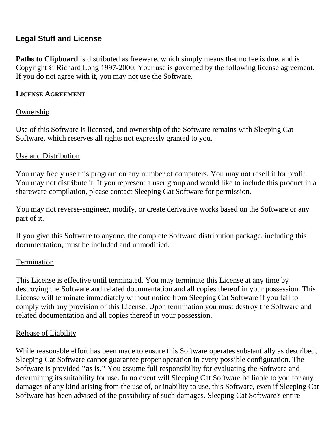## **Legal Stuff and License**

**Paths to Clipboard** is distributed as freeware, which simply means that no fee is due, and is Copyright © Richard Long 1997-2000. Your use is governed by the following license agreement. If you do not agree with it, you may not use the Software.

### **LICENSE AGREEMENT**

## Ownership

Use of this Software is licensed, and ownership of the Software remains with Sleeping Cat Software, which reserves all rights not expressly granted to you.

## Use and Distribution

You may freely use this program on any number of computers. You may not resell it for profit. You may not distribute it. If you represent a user group and would like to include this product in a shareware compilation, please contact Sleeping Cat Software for permission.

You may not reverse-engineer, modify, or create derivative works based on the Software or any part of it.

If you give this Software to anyone, the complete Software distribution package, including this documentation, must be included and unmodified.

#### Termination

This License is effective until terminated. You may terminate this License at any time by destroying the Software and related documentation and all copies thereof in your possession. This License will terminate immediately without notice from Sleeping Cat Software if you fail to comply with any provision of this License. Upon termination you must destroy the Software and related documentation and all copies thereof in your possession.

#### Release of Liability

While reasonable effort has been made to ensure this Software operates substantially as described, Sleeping Cat Software cannot guarantee proper operation in every possible configuration. The Software is provided **"as is."** You assume full responsibility for evaluating the Software and determining its suitability for use. In no event will Sleeping Cat Software be liable to you for any damages of any kind arising from the use of, or inability to use, this Software, even if Sleeping Cat Software has been advised of the possibility of such damages. Sleeping Cat Software's entire